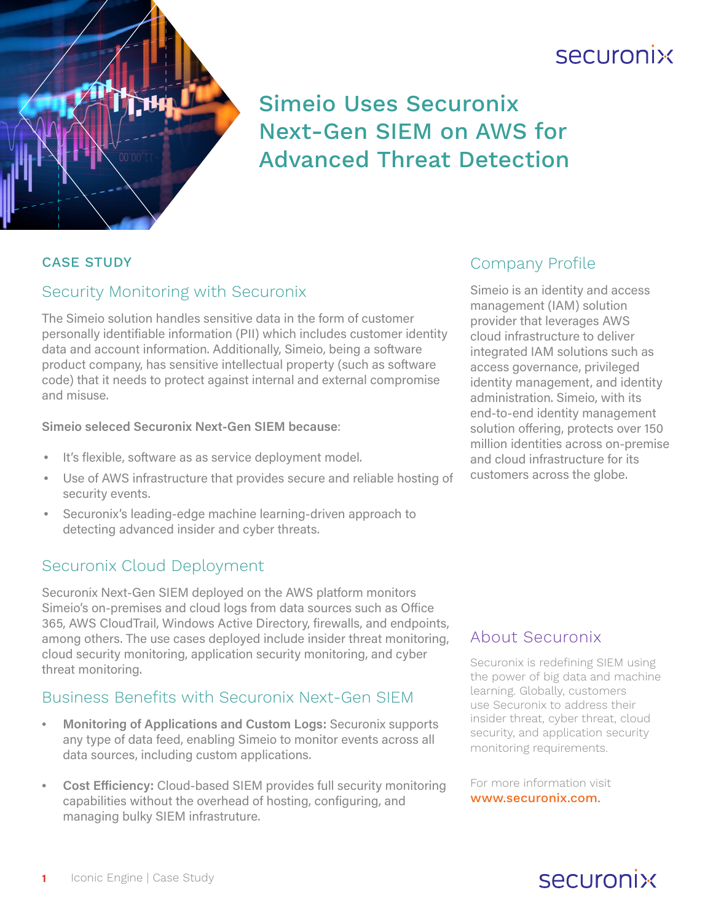



## Simeio Uses Securonix Next-Gen SIEM on AWS for Advanced Threat Detection

#### CASE STUDY

#### Security Monitoring with Securonix

The Simeio solution handles sensitive data in the form of customer personally identifiable information (PII) which includes customer identity data and account information. Additionally, Simeio, being a software product company, has sensitive intellectual property (such as software code) that it needs to protect against internal and external compromise and misuse.

#### **Simeio seleced Securonix Next-Gen SIEM because**:

- It's flexible, software as as service deployment model.
- Use of AWS infrastructure that provides secure and reliable hosting of security events.
- Securonix's leading-edge machine learning-driven approach to detecting advanced insider and cyber threats.

## Securonix Cloud Deployment

Securonix Next-Gen SIEM deployed on the AWS platform monitors Simeio's on-premises and cloud logs from data sources such as Office 365, AWS CloudTrail, Windows Active Directory, firewalls, and endpoints, among others. The use cases deployed include insider threat monitoring, cloud security monitoring, application security monitoring, and cyber threat monitoring.

#### Business Benefits with Securonix Next-Gen SIEM

- **Monitoring of Applications and Custom Logs:** Securonix supports any type of data feed, enabling Simeio to monitor events across all data sources, including custom applications.
- **Cost Efficiency:** Cloud-based SIEM provides full security monitoring capabilities without the overhead of hosting, configuring, and managing bulky SIEM infrastruture.

## Company Profile

Simeio is an identity and access management (IAM) solution provider that leverages AWS cloud infrastructure to deliver integrated IAM solutions such as access governance, privileged identity management, and identity administration. Simeio, with its end-to-end identity management solution offering, protects over 150 million identities across on-premise and cloud infrastructure for its customers across the globe.

#### About Securonix

Securonix is redefining SIEM using the power of big data and machine learning. Globally, customers use Securonix to address their insider threat, cyber threat, cloud security, and application security monitoring requirements.

For more information visit [www.securonix.com](http://www.securonix.com).

# securonix